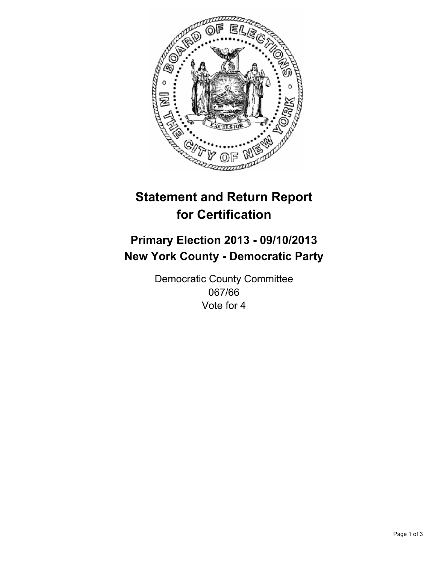

# **Statement and Return Report for Certification**

## **Primary Election 2013 - 09/10/2013 New York County - Democratic Party**

Democratic County Committee 067/66 Vote for 4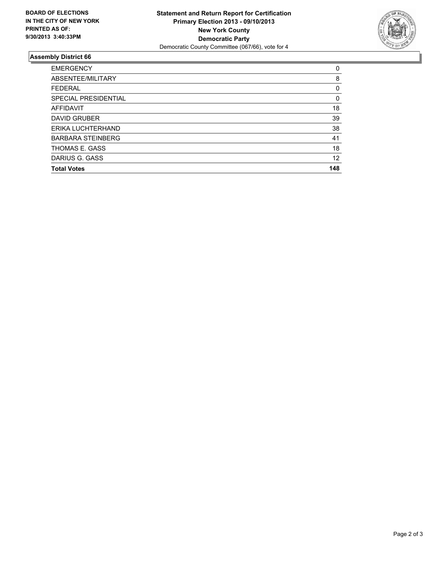

### **Assembly District 66**

| <b>EMERGENCY</b>         | 0   |
|--------------------------|-----|
| ABSENTEE/MILITARY        | 8   |
| <b>FEDERAL</b>           | 0   |
| SPECIAL PRESIDENTIAL     | 0   |
| AFFIDAVIT                | 18  |
| <b>DAVID GRUBER</b>      | 39  |
| ERIKA LUCHTERHAND        | 38  |
| <b>BARBARA STEINBERG</b> | 41  |
| THOMAS E. GASS           | 18  |
| DARIUS G. GASS           | 12  |
| <b>Total Votes</b>       | 148 |